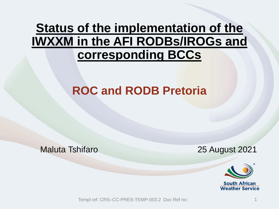#### **Status of the implementation of the IWXXM in the AFI RODBs/IROGs and corresponding BCCs**

#### **ROC and RODB Pretoria**

Maluta Tshifaro 25 August 2021



Templ ref: CRS–CC-PRES-TEMP-003.2 Doc Ref no: 1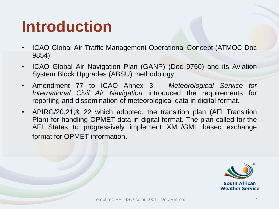### **Introduction**

- ICAO Global Air Traffic Management Operational Concept (ATMOC Doc 9854)
- ICAO Global Air Navigation Plan (GANP) (Doc 9750) and its Aviation System Block Upgrades (ABSU) methodology
- Amendment 77 to ICAO Annex 3 *Meteorological Service for International Civil Air Navigation* introduced the requirements for reporting and dissemination of meteorological data in digital format.
- APIRG/20,21,& 22 which adopted, the transition plan (AFI Transition Plan) for handling OPMET data in digital format. The plan called for the AFI States to progressively implement XML/GML based exchange format for OPMET information.

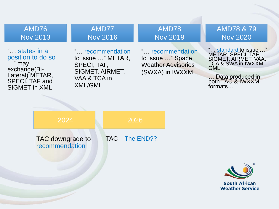| AMD76<br><b>Nov 2013</b>                                                                                                          | AMD77<br><b>Nov 2016</b>                                                                                 | AMD78<br><b>Nov 2019</b>                                                             | <b>AMD78 &amp; 79</b><br><b>Nov 2020</b>                                                                                                                   |
|-----------------------------------------------------------------------------------------------------------------------------------|----------------------------------------------------------------------------------------------------------|--------------------------------------------------------------------------------------|------------------------------------------------------------------------------------------------------------------------------------------------------------|
| " states in a<br>position to do so<br>$\ldots$ " may<br>exchange(Bi-<br>Lateral) METAR,<br>SPECI, TAF and<br><b>SIGMET in XML</b> | "recommendation<br>to issue " METAR,<br>SPECI, TAF,<br>SIGMET, AIRMET,<br>VAA & TCA in<br><b>XML/GML</b> | " recommendation<br>to issue " Space<br><b>Weather Advisories</b><br>(SWXA) in IWXXM | " standard to issue "<br>METAR, SPECI, TAF,<br>SIGMET, AIRMET, VAA,<br>TCA & SWA in IWXXM<br><b>GML</b><br>Data produced in<br>both TAC & IWXXM<br>formats |



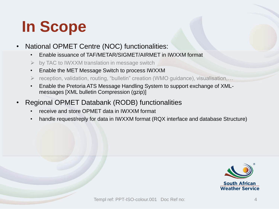# **In Scope**

- National OPMET Centre (NOC) functionalities:
	- Enable issuance of TAF/METAR/SIGMET/AIRMET in IWXXM format
	- by TAC to IWXXM translation in message switch
	- Enable the MET Message Switch to process IWXXM
	- ➢ reception, validation, routing, "bulletin" creation (WMO guidance), visualisation,…
	- Enable the Pretoria ATS Message Handling System to support exchange of XMLmessages [XML bulletin Compression (gzip)]
- Regional OPMET Databank (RODB) functionalities
	- receive and store OPMET data in IWXXM format
	- handle request/reply for data in IWXXM format (RQX interface and database Structure)

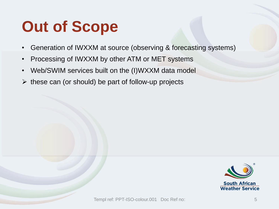## **Out of Scope**

- Generation of IWXXM at source (observing & forecasting systems)
- Processing of IWXXM by other ATM or MET systems
- Web/SWIM services built on the (I)WXXM data model
- $\triangleright$  these can (or should) be part of follow-up projects

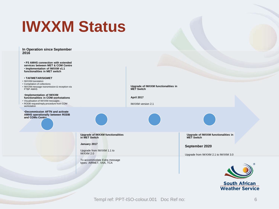### **IWXXM Status**

**In Operation since September 2016**

• **P3 AMHS connection with extended services between MET & COM Centre** • **Implementation of IWXXM v1.1 functionalities in MET switch**

#### • **TAF/METAR/SIGMET**

- IWXXM translation
- Compilation of collections
- IWXXM message transmission & reception via FTBP AMHS

•**Implementation of IWXXM functionalities in COM workstations** 

• Visualisation of IWXXM messages • RODB request/reply procedure from COM workstation

•**Decommission AFTN and activate AMHS operationally between RODB and COMs Centre**

**Upgrade of IWXXM functionalities in MET Switch**

**April 2017** 

IWXXM version 2.1

**Upgrade of IWXXM functionalities in MET Switch** 

**January 2017**

Upgrade from IWXXM 1.1 to IWXXM 2.0

To accommodate Extra message types: AIRMET, VAA, TCA

**Upgrade of IWXXM functionalities in MET Switch**

**September 2020** 

Upgrade from IWXXM 2.1 to IWXXM 3.0



Templ ref: PPT-ISO-colour.001 Doc Ref no: 6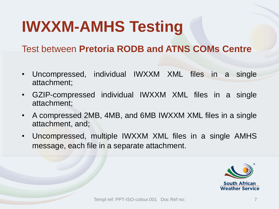## **IWXXM-AMHS Testing**

#### Test between **Pretoria RODB and ATNS COMs Centre**

- Uncompressed, individual IWXXM XML files in a single attachment;
- GZIP-compressed individual IWXXM XML files in a single attachment;
- A compressed 2MB, 4MB, and 6MB IWXXM XML files in a single attachment, and;
- Uncompressed, multiple IWXXM XML files in a single AMHS message, each file in a separate attachment.

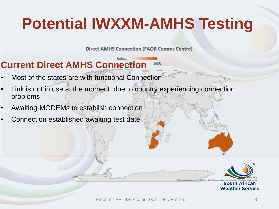## **Potential IWXXM-AMHS Testing**

**Direct AMHS Connection (FAOR Comms Centre)** 

100%

#### **Current Direct AMHS Connection**

- Most of the states are with functional Connection
- Link is not in use at the moment due to country experiencing connection problems
- Awaiting MODEMs to establish connection
- Connection established awaiting test date

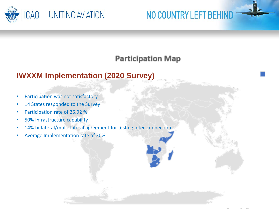

#### NO COUNTRY LEFT BEHIND

#### **Participation Map**

#### **IWXXM Implementation (2020 Survey)**

- Participation was not satisfactory
- 14 States responded to the Survey
- Participation rate of 25.92 %
- 50% Infrastructure capability
- 14% bi-lateral/multi-lateral agreement for testing inter-connection.
- Average Implementation rate of 30%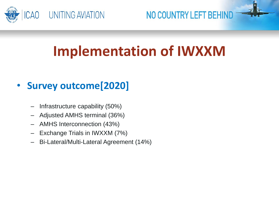

NO COUNTRY LEFT BEHIND

### **Implementation of IWXXM**

#### • **Survey outcome[2020]**

- Infrastructure capability (50%)
- Adjusted AMHS terminal (36%)
- AMHS Interconnection (43%)
- Exchange Trials in IWXXM (7%)
- Bi-Lateral/Multi-Lateral Agreement (14%)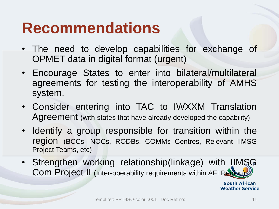### **Recommendations**

- The need to develop capabilities for exchange of OPMET data in digital format (urgent)
- Encourage States to enter into bilateral/multilateral agreements for testing the interoperability of AMHS system.
- Consider entering into TAC to IWXXM Translation Agreement (with states that have already developed the capability)
- Identify a group responsible for transition within the region (BCCs, NOCs, RODBs, COMMs Centres, Relevant IIMSG Project Teams, etc)
- Strengthen working relationship(linkage) with IIMSG Com Project II (Inter-operability requirements within AFI Region

**South African Weather Service**